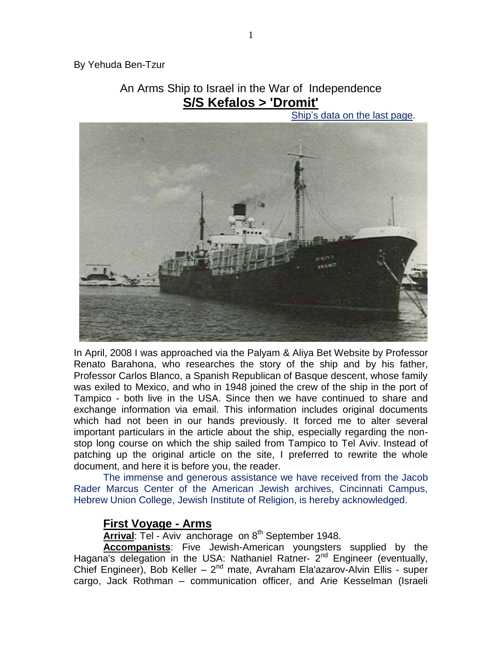By Yehuda Ben-Tzur

# An Arms Ship to Israel in the War of Independence **S/S Kefalos > 'Dromit'**

Ship"s data on the last page.



In April, 2008 I was approached via the Palyam & Aliya Bet Website by Professor Renato Barahona, who researches the story of the ship and by his father, Professor Carlos Blanco, a Spanish Republican of Basque descent, whose family was exiled to Mexico, and who in 1948 joined the crew of the ship in the port of Tampico - both live in the USA. Since then we have continued to share and exchange information via email. This information includes original documents which had not been in our hands previously. It forced me to alter several important particulars in the article about the ship, especially regarding the nonstop long course on which the ship sailed from Tampico to Tel Aviv. Instead of patching up the original article on the site, I preferred to rewrite the whole document, and here it is before you, the reader.

The immense and generous assistance we have received from the Jacob Rader Marcus Center of the American Jewish archives, Cincinnati Campus, Hebrew Union College, Jewish Institute of Religion, is hereby acknowledged.

# **First Voyage - Arms**

**Arrival:** Tel - Aviv anchorage on 8<sup>th</sup> September 1948.

**Accompanists**: Five Jewish-American youngsters supplied by the Hagana's delegation in the USA: Nathaniel Ratner- 2<sup>nd</sup> Engineer (eventually, Chief Engineer), Bob Keller - 2<sup>nd</sup> mate, Avraham Ela'azarov-Alvin Ellis - super cargo, Jack Rothman – communication officer, and Arie Kesselman (Israeli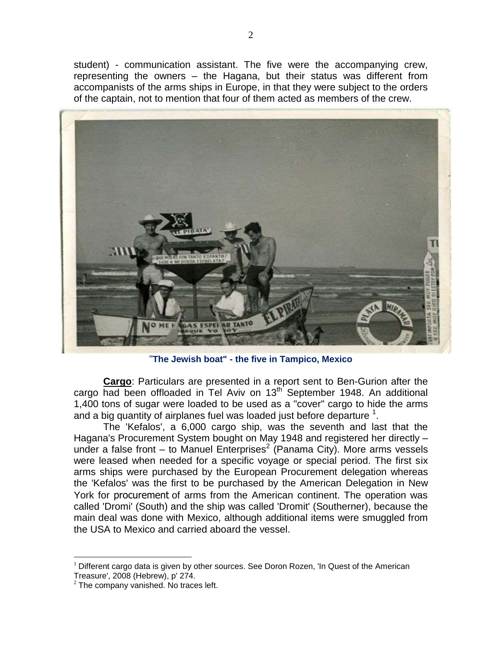student) - communication assistant. The five were the accompanying crew, representing the owners – the Hagana, but their status was different from accompanists of the arms ships in Europe, in that they were subject to the orders of the captain, not to mention that four of them acted as members of the crew.



"**The Jewish boat" - the five in Tampico, Mexico**

**Cargo**: Particulars are presented in a report sent to Ben-Gurion after the cargo had been offloaded in Tel Aviv on 13<sup>th</sup> September 1948. An additional 1,400 tons of sugar were loaded to be used as a "cover" cargo to hide the arms and a big quantity of airplanes fuel was loaded just before departure  $1$ .

The 'Kefalos', a 6,000 cargo ship, was the seventh and last that the Hagana's Procurement System bought on May 1948 and registered her directly – under a false front – to Manuel Enterprises<sup>2</sup> (Panama City). More arms vessels were leased when needed for a specific voyage or special period. The first six arms ships were purchased by the European Procurement delegation whereas the 'Kefalos' was the first to be purchased by the American Delegation in New York for procurement of arms from the American continent. The operation was called 'Dromi' (South) and the ship was called 'Dromit' (Southerner), because the main deal was done with Mexico, although additional items were smuggled from the USA to Mexico and carried aboard the vessel.

 $\overline{a}$  $<sup>1</sup>$  Different cargo data is given by other sources. See Doron Rozen, 'In Quest of the American</sup> Treasure', 2008 (Hebrew), p' 274.

 $2$  The company vanished. No traces left.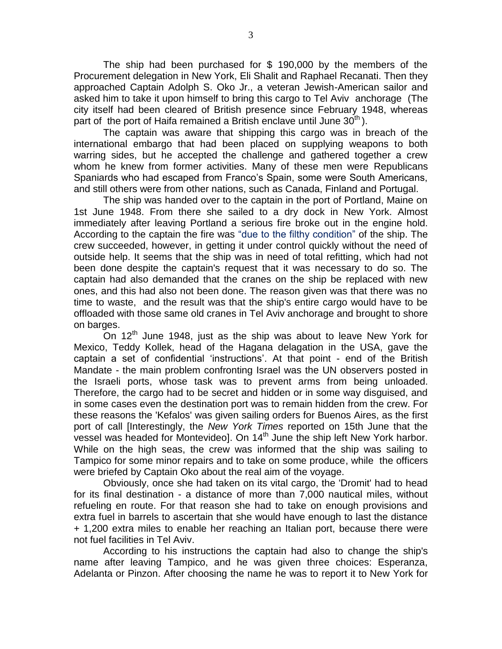The ship had been purchased for \$ 190,000 by the members of the Procurement delegation in New York, Eli Shalit and Raphael Recanati. Then they approached Captain Adolph S. Oko Jr., a veteran Jewish-American sailor and asked him to take it upon himself to bring this cargo to Tel Aviv anchorage (The city itself had been cleared of British presence since February 1948, whereas part of the port of Haifa remained a British enclave until June  $30<sup>th</sup>$ ).

The captain was aware that shipping this cargo was in breach of the international embargo that had been placed on supplying weapons to both warring sides, but he accepted the challenge and gathered together a crew whom he knew from former activities. Many of these men were Republicans Spaniards who had escaped from Franco"s Spain, some were South Americans, and still others were from other nations, such as Canada, Finland and Portugal.

The ship was handed over to the captain in the port of Portland, Maine on 1st June 1948. From there she sailed to a dry dock in New York. Almost immediately after leaving Portland a serious fire broke out in the engine hold. According to the captain the fire was "due to the filthy condition" of the ship. The crew succeeded, however, in getting it under control quickly without the need of outside help. It seems that the ship was in need of total refitting, which had not been done despite the captain's request that it was necessary to do so. The captain had also demanded that the cranes on the ship be replaced with new ones, and this had also not been done. The reason given was that there was no time to waste, and the result was that the ship's entire cargo would have to be offloaded with those same old cranes in Tel Aviv anchorage and brought to shore on barges.

On 12<sup>th</sup> June 1948, just as the ship was about to leave New York for Mexico, Teddy Kollek, head of the Hagana delagation in the USA, gave the captain a set of confidential 'instructions'. At that point - end of the British Mandate - the main problem confronting Israel was the UN observers posted in the Israeli ports, whose task was to prevent arms from being unloaded. Therefore, the cargo had to be secret and hidden or in some way disguised, and in some cases even the destination port was to remain hidden from the crew. For these reasons the 'Kefalos' was given sailing orders for Buenos Aires, as the first port of call [Interestingly, the *New York Times* reported on 15th June that the vessel was headed for Montevideo]. On 14<sup>th</sup> June the ship left New York harbor. While on the high seas, the crew was informed that the ship was sailing to Tampico for some minor repairs and to take on some produce, while the officers were briefed by Captain Oko about the real aim of the voyage.

Obviously, once she had taken on its vital cargo, the 'Dromit' had to head for its final destination - a distance of more than 7,000 nautical miles, without refueling en route. For that reason she had to take on enough provisions and extra fuel in barrels to ascertain that she would have enough to last the distance + 1,200 extra miles to enable her reaching an Italian port, because there were not fuel facilities in Tel Aviv.

According to his instructions the captain had also to change the ship's name after leaving Tampico, and he was given three choices: Esperanza, Adelanta or Pinzon. After choosing the name he was to report it to New York for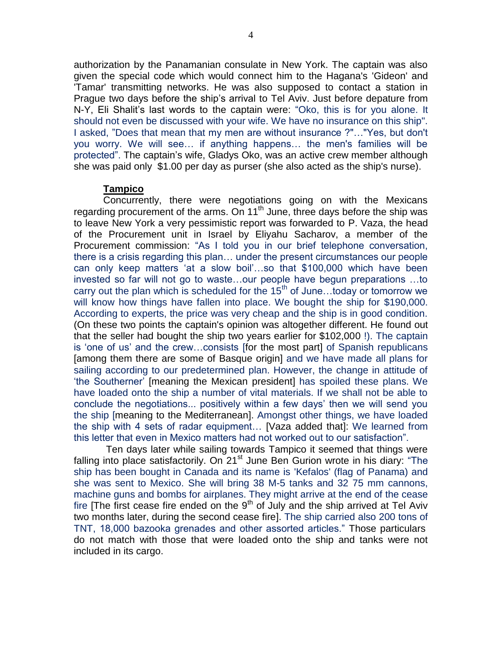authorization by the Panamanian consulate in New York. The captain was also given the special code which would connect him to the Hagana's 'Gideon' and 'Tamar' transmitting networks. He was also supposed to contact a station in Prague two days before the ship"s arrival to Tel Aviv. Just before depature from N-Y, Eli Shalit"s last words to the captain were: "Oko, this is for you alone. It should not even be discussed with your wife. We have no insurance on this ship". I asked, "Does that mean that my men are without insurance ?"…"Yes, but don't you worry. We will see… if anything happens… the men's families will be protected". The captain"s wife, Gladys Oko, was an active crew member although she was paid only \$1.00 per day as purser (she also acted as the ship's nurse).

### **Tampico**

Concurrently, there were negotiations going on with the Mexicans regarding procurement of the arms. On 11<sup>th</sup> June, three days before the ship was to leave New York a very pessimistic report was forwarded to P. Vaza, the head of the Procurement unit in Israel by Eliyahu Sacharov, a member of the Procurement commission: "As I told you in our brief telephone conversation, there is a crisis regarding this plan… under the present circumstances our people can only keep matters "at a slow boil"…so that \$100,000 which have been invested so far will not go to waste…our people have begun preparations …to carry out the plan which is scheduled for the  $15<sup>th</sup>$  of June...today or tomorrow we will know how things have fallen into place. We bought the ship for \$190,000. According to experts, the price was very cheap and the ship is in good condition. (On these two points the captain's opinion was altogether different. He found out that the seller had bought the ship two years earlier for \$102,000 !). The captain is "one of us" and the crew…consists [for the most part] of Spanish republicans [among them there are some of Basque origin] and we have made all plans for sailing according to our predetermined plan. However, the change in attitude of "the Southerner" [meaning the Mexican president] has spoiled these plans. We have loaded onto the ship a number of vital materials. If we shall not be able to conclude the negotiations... positively within a few days" then we will send you the ship [meaning to the Mediterranean]. Amongst other things, we have loaded the ship with 4 sets of radar equipment… [Vaza added that]: We learned from this letter that even in Mexico matters had not worked out to our satisfaction".

Ten days later while sailing towards Tampico it seemed that things were falling into place satisfactorily. On  $21<sup>st</sup>$  June Ben Gurion wrote in his diary: "The ship has been bought in Canada and its name is 'Kefalos' (flag of Panama) and she was sent to Mexico. She will bring 38 M-5 tanks and 32 75 mm cannons, machine guns and bombs for airplanes. They might arrive at the end of the cease fire  $\overline{f}$  first cease fire ended on the  $9<sup>th</sup>$  of July and the ship arrived at Tel Aviv two months later, during the second cease fire]. The ship carried also 200 tons of TNT, 18,000 bazooka grenades and other assorted articles." Those particulars do not match with those that were loaded onto the ship and tanks were not included in its cargo.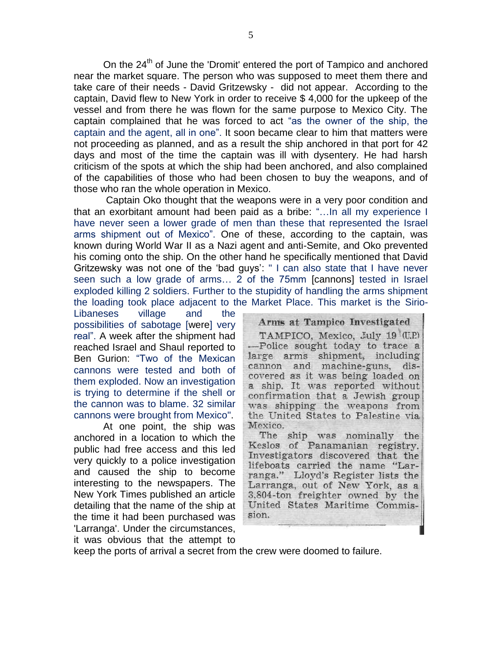On the  $24<sup>th</sup>$  of June the 'Dromit' entered the port of Tampico and anchored near the market square. The person who was supposed to meet them there and take care of their needs - David Gritzewsky - did not appear. According to the captain, David flew to New York in order to receive \$ 4,000 for the upkeep of the vessel and from there he was flown for the same purpose to Mexico City. The captain complained that he was forced to act "as the owner of the ship, the captain and the agent, all in one". It soon became clear to him that matters were not proceeding as planned, and as a result the ship anchored in that port for 42 days and most of the time the captain was ill with dysentery. He had harsh criticism of the spots at which the ship had been anchored, and also complained of the capabilities of those who had been chosen to buy the weapons, and of those who ran the whole operation in Mexico.

Captain Oko thought that the weapons were in a very poor condition and that an exorbitant amount had been paid as a bribe: "…In all my experience I have never seen a lower grade of men than these that represented the Israel arms shipment out of Mexico". One of these, according to the captain, was known during World War II as a Nazi agent and anti-Semite, and Oko prevented his coming onto the ship. On the other hand he specifically mentioned that David Gritzewsky was not one of the "bad guys": " I can also state that I have never seen such a low grade of arms… 2 of the 75mm [cannons] tested in Israel exploded killing 2 soldiers. Further to the stupidity of handling the arms shipment the loading took place adjacent to the Market Place. This market is the Sirio-

Libaneses village and the possibilities of sabotage [were] very real". A week after the shipment had reached Israel and Shaul reported to Ben Gurion: "Two of the Mexican cannons were tested and both of them exploded. Now an investigation is trying to determine if the shell or the cannon was to blame. 32 similar cannons were brought from Mexico".

At one point, the ship was anchored in a location to which the public had free access and this led very quickly to a police investigation and caused the ship to become interesting to the newspapers. The New York Times published an article detailing that the name of the ship at the time it had been purchased was 'Larranga'. Under the circumstances, it was obvious that the attempt to

Arms at Tampico Investigated TAMPICO, Mexico, July 19 (U.P.) -Police sought today to trace a large arms shipment, including cannon and machine-guns, discovered as it was being loaded on a ship. It was reported without confirmation that a Jewish group was shipping the weapons from the United States to Palestine via Mexico.

The ship was nominally the Keslos of Panamanian registry. Investigators discovered that the lifeboats carried the name "Larranga." Lloyd's Register lists the Larranga, out of New York, as a 3,804-ton freighter owned by the United States Maritime Commission.

keep the ports of arrival a secret from the crew were doomed to failure.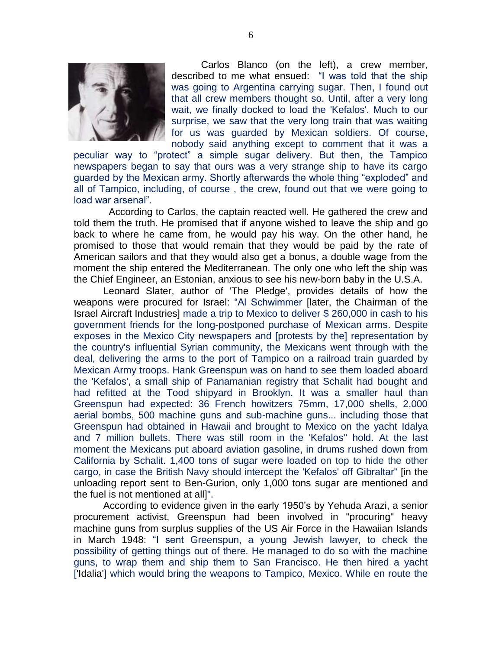

Carlos Blanco (on the left), a crew member, described to me what ensued: "I was told that the ship was going to Argentina carrying sugar. Then, I found out that all crew members thought so. Until, after a very long wait, we finally docked to load the 'Kefalos'. Much to our surprise, we saw that the very long train that was waiting for us was guarded by Mexican soldiers. Of course, nobody said anything except to comment that it was a

peculiar way to "protect" a simple sugar delivery. But then, the Tampico newspapers began to say that ours was a very strange ship to have its cargo guarded by the Mexican army. Shortly afterwards the whole thing "exploded" and all of Tampico, including, of course , the crew, found out that we were going to load war arsenal".

 According to Carlos, the captain reacted well. He gathered the crew and told them the truth. He promised that if anyone wished to leave the ship and go back to where he came from, he would pay his way. On the other hand, he promised to those that would remain that they would be paid by the rate of American sailors and that they would also get a bonus, a double wage from the moment the ship entered the Mediterranean. The only one who left the ship was the Chief Engineer, an Estonian, anxious to see his new-born baby in the U.S.A.

Leonard Slater, author of 'The Pledge', provides details of how the weapons were procured for Israel: "Al Schwimmer [later, the Chairman of the Israel Aircraft Industries] made a trip to Mexico to deliver \$ 260,000 in cash to his government friends for the long-postponed purchase of Mexican arms. Despite exposes in the Mexico City newspapers and [protests by the] representation by the country's influential Syrian community, the Mexicans went through with the deal, delivering the arms to the port of Tampico on a railroad train guarded by Mexican Army troops. Hank Greenspun was on hand to see them loaded aboard the 'Kefalos', a small ship of Panamanian registry that Schalit had bought and had refitted at the Tood shipyard in Brooklyn. It was a smaller haul than Greenspun had expected: 36 French howitzers 75mm, 17,000 shells, 2,000 aerial bombs, 500 machine guns and sub-machine guns... including those that Greenspun had obtained in Hawaii and brought to Mexico on the yacht Idalya and 7 million bullets. There was still room in the 'Kefalos'' hold. At the last moment the Mexicans put aboard aviation gasoline, in drums rushed down from California by Schalit. 1,400 tons of sugar were loaded on top to hide the other cargo, in case the British Navy should intercept the 'Kefalos' off Gibraltar" [in the unloading report sent to Ben-Gurion, only 1,000 tons sugar are mentioned and the fuel is not mentioned at all]".

According to evidence given in the early 1950"s by Yehuda Arazi, a senior procurement activist, Greenspun had been involved in "procuring" heavy machine guns from surplus supplies of the US Air Force in the Hawaiian Islands in March 1948: "I sent Greenspun, a young Jewish lawyer, to check the possibility of getting things out of there. He managed to do so with the machine guns, to wrap them and ship them to San Francisco. He then hired a yacht ['Idalia'] which would bring the weapons to Tampico, Mexico. While en route the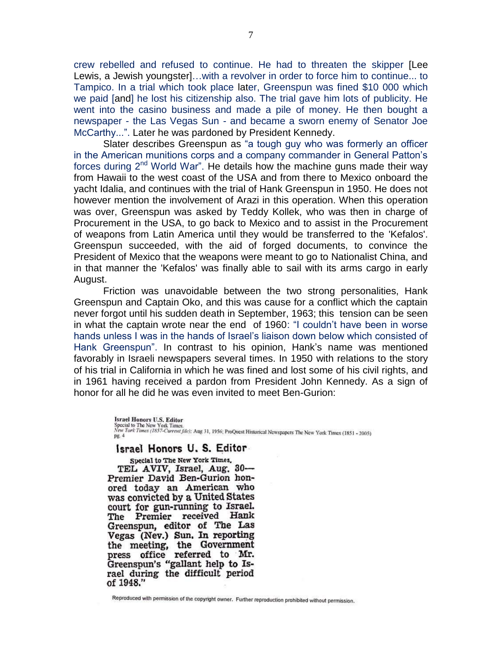crew rebelled and refused to continue. He had to threaten the skipper [Lee Lewis, a Jewish youngster]…with a revolver in order to force him to continue... to Tampico. In a trial which took place later, Greenspun was fined \$10 000 which we paid [and] he lost his citizenship also. The trial gave him lots of publicity. He went into the casino business and made a pile of money. He then bought a newspaper - the Las Vegas Sun - and became a sworn enemy of Senator Joe McCarthy...". Later he was pardoned by President Kennedy.

Slater describes Greenspun as "a tough guy who was formerly an officer in the American munitions corps and a company commander in General Patton"s forces during  $2<sup>nd</sup>$  World War". He details how the machine guns made their way from Hawaii to the west coast of the USA and from there to Mexico onboard the yacht Idalia, and continues with the trial of Hank Greenspun in 1950. He does not however mention the involvement of Arazi in this operation. When this operation was over, Greenspun was asked by Teddy Kollek, who was then in charge of Procurement in the USA, to go back to Mexico and to assist in the Procurement of weapons from Latin America until they would be transferred to the 'Kefalos'. Greenspun succeeded, with the aid of forged documents, to convince the President of Mexico that the weapons were meant to go to Nationalist China, and in that manner the 'Kefalos' was finally able to sail with its arms cargo in early August.

Friction was unavoidable between the two strong personalities, Hank Greenspun and Captain Oko, and this was cause for a conflict which the captain never forgot until his sudden death in September, 1963; this tension can be seen in what the captain wrote near the end of 1960: "I couldn"t have been in worse hands unless I was in the hands of Israel"s liaison down below which consisted of Hank Greenspun". In contrast to his opinion, Hank"s name was mentioned favorably in Israeli newspapers several times. In 1950 with relations to the story of his trial in California in which he was fined and lost some of his civil rights, and in 1961 having received a pardon from President John Kennedy. As a sign of honor for all he did he was even invited to meet Ben-Gurion:

> **Israel Honors U.S. Editor** Special to The New York Times.<br>New York Times.<br>New York Times (1857-Current file): Ang 31, 1956; ProQuest Historical Newspapers The New York Times (1851 - 2005) pg. 4

#### Israel Honors U.S. Editor

Special to The New York Times. TEL AVIV, Israel, Aug. 30-Premier David Ben-Gurion honored today an American who was convicted by a United States court for gun-running to Israel. The Premier received Hank Greenspun, editor of The Las Vegas (Nev.) Sun. In reporting the meeting, the Government press office referred to Mr. Greenspun's "gallant help to Israel during the difficult period of 1948."

Reproduced with permission of the copyright owner. Further reproduction prohibited without permission.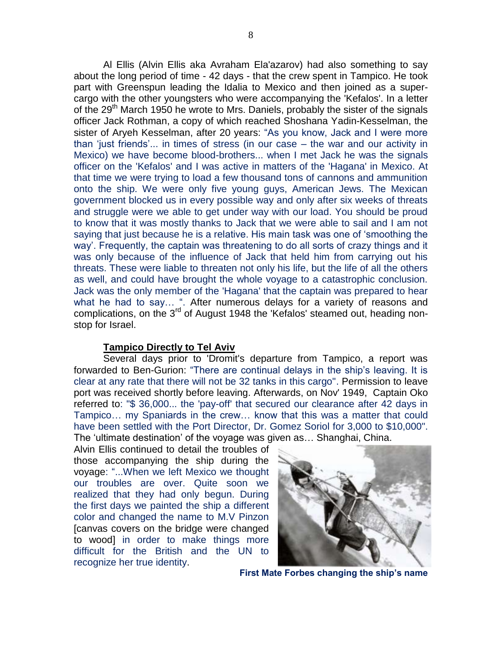Al Ellis (Alvin Ellis aka Avraham Ela'azarov) had also something to say about the long period of time - 42 days - that the crew spent in Tampico. He took part with Greenspun leading the Idalia to Mexico and then joined as a supercargo with the other youngsters who were accompanying the 'Kefalos'. In a letter of the 29<sup>th</sup> March 1950 he wrote to Mrs. Daniels, probably the sister of the signals officer Jack Rothman, a copy of which reached Shoshana Yadin-Kesselman, the sister of Aryeh Kesselman, after 20 years: "As you know, Jack and I were more than "just friends"... in times of stress (in our case – the war and our activity in Mexico) we have become blood-brothers... when I met Jack he was the signals officer on the 'Kefalos' and I was active in matters of the 'Hagana' in Mexico. At that time we were trying to load a few thousand tons of cannons and ammunition onto the ship. We were only five young guys, American Jews. The Mexican government blocked us in every possible way and only after six weeks of threats and struggle were we able to get under way with our load. You should be proud to know that it was mostly thanks to Jack that we were able to sail and I am not saying that just because he is a relative. His main task was one of "smoothing the way". Frequently, the captain was threatening to do all sorts of crazy things and it was only because of the influence of Jack that held him from carrying out his threats. These were liable to threaten not only his life, but the life of all the others as well, and could have brought the whole voyage to a catastrophic conclusion. Jack was the only member of the 'Hagana' that the captain was prepared to hear what he had to say... ". After numerous delays for a variety of reasons and complications, on the 3<sup>rd</sup> of August 1948 the 'Kefalos' steamed out, heading nonstop for Israel.

#### **Tampico Directly to Tel Aviv**

Several days prior to 'Dromit's departure from Tampico, a report was forwarded to Ben-Gurion: "There are continual delays in the ship"s leaving. It is clear at any rate that there will not be 32 tanks in this cargo". Permission to leave port was received shortly before leaving. Afterwards, on Nov' 1949, Captain Oko referred to: "\$ 36,000... the 'pay-off' that secured our clearance after 42 days in Tampico… my Spaniards in the crew… know that this was a matter that could have been settled with the Port Director, Dr. Gomez Soriol for 3,000 to \$10,000". The "ultimate destination" of the voyage was given as… Shanghai, China.

Alvin Ellis continued to detail the troubles of those accompanying the ship during the voyage: "...When we left Mexico we thought our troubles are over. Quite soon we realized that they had only begun. During the first days we painted the ship a different color and changed the name to M.V Pinzon [canvas covers on the bridge were changed to wood] in order to make things more difficult for the British and the UN to recognize her true identity.



**First Mate Forbes changing the ship's name**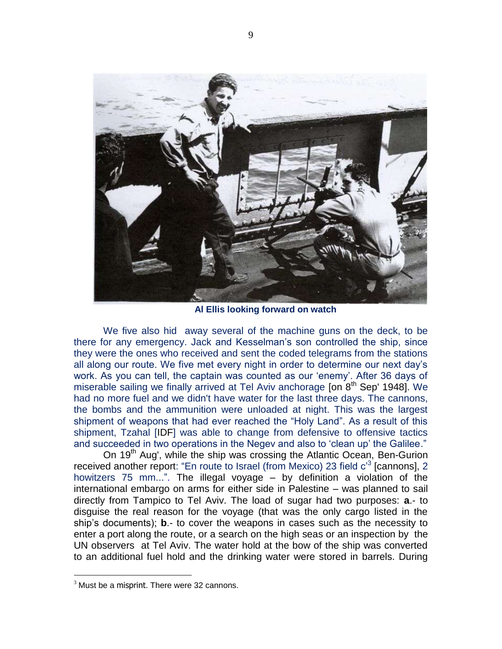

**Al Ellis looking forward on watch**

We five also hid away several of the machine guns on the deck, to be there for any emergency. Jack and Kesselman"s son controlled the ship, since they were the ones who received and sent the coded telegrams from the stations all along our route. We five met every night in order to determine our next day"s work. As you can tell, the captain was counted as our "enemy". After 36 days of miserable sailing we finally arrived at Tel Aviv anchorage [on  $8<sup>th</sup>$  Sep' 1948]. We had no more fuel and we didn't have water for the last three days. The cannons, the bombs and the ammunition were unloaded at night. This was the largest shipment of weapons that had ever reached the "Holy Land". As a result of this shipment, Tzahal [IDF] was able to change from defensive to offensive tactics and succeeded in two operations in the Negev and also to "clean up" the Galilee."

On 19<sup>th</sup> Aug', while the ship was crossing the Atlantic Ocean, Ben-Gurion received another report: "En route to Israel (from Mexico) 23 field c<sup>3</sup> [cannons], 2 howitzers 75 mm...". The illegal voyage – by definition a violation of the international embargo on arms for either side in Palestine – was planned to sail directly from Tampico to Tel Aviv. The load of sugar had two purposes: **a**.- to disguise the real reason for the voyage (that was the only cargo listed in the ship"s documents); **b**.- to cover the weapons in cases such as the necessity to enter a port along the route, or a search on the high seas or an inspection by the UN observers at Tel Aviv. The water hold at the bow of the ship was converted to an additional fuel hold and the drinking water were stored in barrels. During

 $\overline{a}$ 

 $3$  Must be a misprint. There were 32 cannons.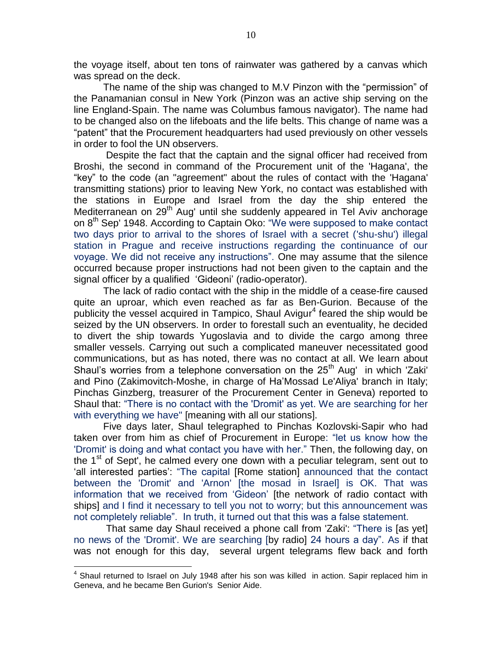the voyage itself, about ten tons of rainwater was gathered by a canvas which was spread on the deck.

The name of the ship was changed to M.V Pinzon with the "permission" of the Panamanian consul in New York (Pinzon was an active ship serving on the line England-Spain. The name was Columbus famous navigator). The name had to be changed also on the lifeboats and the life belts. This change of name was a "patent" that the Procurement headquarters had used previously on other vessels in order to fool the UN observers.

Despite the fact that the captain and the signal officer had received from Broshi, the second in command of the Procurement unit of the 'Hagana', the "key" to the code (an "agreement" about the rules of contact with the 'Hagana' transmitting stations) prior to leaving New York, no contact was established with the stations in Europe and Israel from the day the ship entered the Mediterranean on 29<sup>th</sup> Aug' until she suddenly appeared in Tel Aviv anchorage on 8<sup>th</sup> Sep' 1948. According to Captain Oko: "We were supposed to make contact two days prior to arrival to the shores of Israel with a secret ('shu-shu') illegal station in Prague and receive instructions regarding the continuance of our voyage. We did not receive any instructions". One may assume that the silence occurred because proper instructions had not been given to the captain and the signal officer by a qualified 'Gideoni' (radio-operator).

The lack of radio contact with the ship in the middle of a cease-fire caused quite an uproar, which even reached as far as Ben-Gurion. Because of the publicity the vessel acquired in Tampico, Shaul Avigur<sup>4</sup> feared the ship would be seized by the UN observers. In order to forestall such an eventuality, he decided to divert the ship towards Yugoslavia and to divide the cargo among three smaller vessels. Carrying out such a complicated maneuver necessitated good communications, but as has noted, there was no contact at all. We learn about Shaul's worries from a telephone conversation on the  $25<sup>th</sup>$  Aug' in which 'Zaki' and Pino (Zakimovitch-Moshe, in charge of Ha"Mossad Le'Aliya' branch in Italy; Pinchas Ginzberg, treasurer of the Procurement Center in Geneva) reported to Shaul that: "There is no contact with the 'Dromit' as yet. We are searching for her with everything we have" [meaning with all our stations].

Five days later, Shaul telegraphed to Pinchas Kozlovski-Sapir who had taken over from him as chief of Procurement in Europe: "let us know how the 'Dromit' is doing and what contact you have with her." Then, the following day, on the  $1<sup>st</sup>$  of Sept', he calmed every one down with a peculiar telegram, sent out to "all interested parties": "The capital [Rome station] announced that the contact between the 'Dromit' and 'Arnon' [the mosad in Israel] is OK. That was information that we received from "Gideon" [the network of radio contact with ships] and I find it necessary to tell you not to worry; but this announcement was not completely reliable". In truth, it turned out that this was a false statement.

That same day Shaul received a phone call from 'Zaki': "There is [as yet] no news of the 'Dromit'. We are searching [by radio] 24 hours a day". As if that was not enough for this day, several urgent telegrams flew back and forth

 4 Shaul returned to Israel on July 1948 after his son was killed in action. Sapir replaced him in Geneva, and he became Ben Gurion's Senior Aide.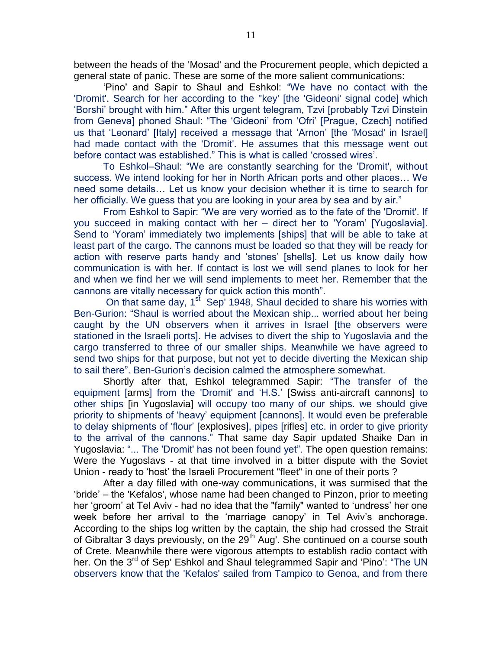between the heads of the 'Mosad' and the Procurement people, which depicted a general state of panic. These are some of the more salient communications:

"Pino' and Sapir to Shaul and Eshkol: "We have no contact with the 'Dromit'. Search for her according to the ''key' [the 'Gideoni' signal code] which "Borshi" brought with him." After this urgent telegram, Tzvi [probably Tzvi Dinstein from Geneva] phoned Shaul: "The "Gideoni" from "Ofri" [Prague, Czech] notified us that "Leonard" [Italy] received a message that "Arnon" [the 'Mosad' in Israel] had made contact with the 'Dromit'. He assumes that this message went out before contact was established." This is what is called "crossed wires".

To Eshkol–Shaul: "We are constantly searching for the 'Dromit', without success. We intend looking for her in North African ports and other places… We need some details… Let us know your decision whether it is time to search for her officially. We guess that you are looking in your area by sea and by air."

From Eshkol to Sapir: "We are very worried as to the fate of the 'Dromit'. If you succeed in making contact with her – direct her to "Yoram" [Yugoslavia]. Send to "Yoram" immediately two implements [ships] that will be able to take at least part of the cargo. The cannons must be loaded so that they will be ready for action with reserve parts handy and "stones" [shells]. Let us know daily how communication is with her. If contact is lost we will send planes to look for her and when we find her we will send implements to meet her. Remember that the cannons are vitally necessary for quick action this month".

On that same day, 1<sup>st</sup> Sep' 1948, Shaul decided to share his worries with Ben-Gurion: "Shaul is worried about the Mexican ship... worried about her being caught by the UN observers when it arrives in Israel [the observers were stationed in the Israeli ports]. He advises to divert the ship to Yugoslavia and the cargo transferred to three of our smaller ships. Meanwhile we have agreed to send two ships for that purpose, but not yet to decide diverting the Mexican ship to sail there". Ben-Gurion"s decision calmed the atmosphere somewhat.

Shortly after that, Eshkol telegrammed Sapir: "The transfer of the equipment [arms] from the 'Dromit' and "H.S." [Swiss anti-aircraft cannons] to other ships [in Yugoslavia] will occupy too many of our ships. we should give priority to shipments of "heavy" equipment [cannons]. It would even be preferable to delay shipments of "flour" [explosives], pipes [rifles] etc. in order to give priority to the arrival of the cannons." That same day Sapir updated Shaike Dan in Yugoslavia: "... The 'Dromit' has not been found yet". The open question remains: Were the Yugoslavs - at that time involved in a bitter dispute with the Soviet Union - ready to "host" the Israeli Procurement "fleet" in one of their ports ?

After a day filled with one-way communications, it was surmised that the "bride" – the 'Kefalos', whose name had been changed to Pinzon, prior to meeting her 'groom' at Tel Aviv - had no idea that the "family" wanted to 'undress' her one week before her arrival to the 'marriage canopy' in Tel Aviv's anchorage. According to the ships log written by the captain, the ship had crossed the Strait of Gibraltar 3 days previously, on the 29<sup>th</sup> Aug'. She continued on a course south of Crete. Meanwhile there were vigorous attempts to establish radio contact with her. On the 3<sup>rd</sup> of Sep' Eshkol and Shaul telegrammed Sapir and 'Pino': "The UN observers know that the 'Kefalos' sailed from Tampico to Genoa, and from there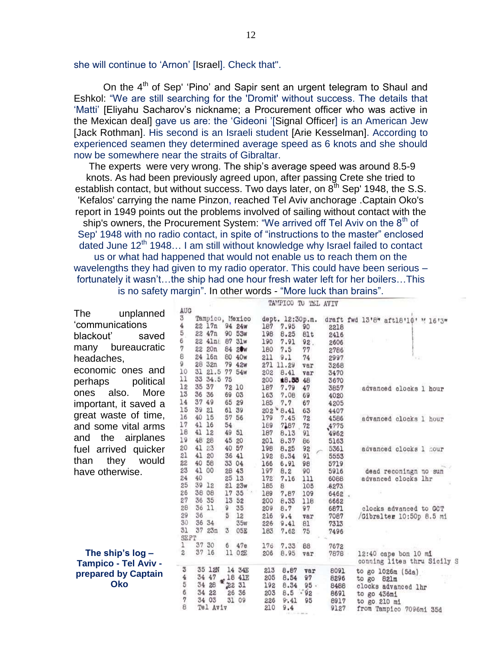she will continue to "Arnon" [Israel]. Check that".

On the 4<sup>th</sup> of Sep' 'Pino' and Sapir sent an urgent telegram to Shaul and Eshkol: "We are still searching for the 'Dromit' without success. The details that 'Matti' [Eliyahu Sacharov's nickname; a Procurement officer who was active in the Mexican deal] gave us are: the "Gideoni "[Signal Officer] is an American Jew [Jack Rothman]. His second is an Israeli student [Arie Kesselman]. According to experienced seamen they determined average speed as 6 knots and she should now be somewhere near the straits of Gibraltar.

The experts were very wrong. The ship's average speed was around 8.5-9 knots. As had been previously agreed upon, after passing Crete she tried to establish contact, but without success. Two days later, on  $8<sup>th</sup>$  Sep' 1948, the S.S. 'Kefalos' carrying the name Pinzon, reached Tel Aviv anchorage .Captain Oko's report in 1949 points out the problems involved of sailing without contact with the ship's owners, the Procurement System: "We arrived off Tel Aviv on the  $8<sup>th</sup>$  of Sep' 1948 with no radio contact, in spite of "instructions to the master" enclosed dated June 12<sup>th</sup> 1948... I am still without knowledge why Israel failed to contact us or what had happened that would not enable us to reach them on the wavelengths they had given to my radio operator. This could have been serious – fortunately it wasn't...the ship had one hour fresh water left for her boilers...This is no safety margin". In other words - "More luck than brains".

|                                                   |          |             |                           |                |           |            | TAMPICO TO TEL AVIV     |           |              |                                                     |
|---------------------------------------------------|----------|-------------|---------------------------|----------------|-----------|------------|-------------------------|-----------|--------------|-----------------------------------------------------|
| The<br>unplanned                                  | AUG<br>3 |             |                           |                |           |            |                         |           |              |                                                     |
| 'communications                                   | 4        |             | Tampico, Mexico<br>22 17n |                | 94 24w    | 187        | dept. 12:30p.m.<br>7.95 | 90        |              | draft fwd 13'8" aft18'10' " 16'3"                   |
|                                                   | 5        |             | 22 47n                    |                | 90 53w    | 198        | 8.25                    | 81t       | 2218<br>2416 |                                                     |
| blackouť<br>saved                                 | 6        |             | 22 41nt                   | 87             | 31w       | 190        | 7.91                    | 92.       | 2606         |                                                     |
| bureaucratic<br>many                              | 7        | 22          | 20n                       |                | 84 20w    | 180        | 7.5                     | 77        | 2786         |                                                     |
| headaches,                                        | 8        | 24          | 16n                       |                | 80 40w    | 211        | 9.1                     | 74        | 2997         |                                                     |
| economic ones and                                 | 9        | 28          | 32n                       |                | 79 42w    | 271        | 11.29                   | var       | 3268         |                                                     |
|                                                   | 10       | 31          | 21.5 77 54w               |                |           | 202        | 8.41                    | var       | 3470         |                                                     |
| political<br>perhaps                              | 11<br>12 | 35 37       | 33 34.5 75                | 72 10          |           | 200        | ≰8.56 48<br>7.79        |           | 3670         |                                                     |
| also.<br>More<br>ones                             | 13       | 36          | 36                        | 69             | 03        | 187<br>163 | 7.08                    | 47<br>69  | 3857<br>4020 | advanced clocks 1 hour                              |
| important, it saved a                             | 14       | 37 49       |                           | 65             | 29        | 185        | 7.7                     | 67        | 4205         |                                                     |
|                                                   | 15       | 39          | 21                        | 61 39          |           |            | 202°8.41                | 63        | 4407         |                                                     |
| great waste of time,                              | 16       | 40          | 15                        | 57             | 56        | 179        | 7.45                    | 72        | 4586         | advanced clocks 1 hour                              |
| and some vital arms                               | 17       | 41 16       |                           | 54             |           | 189        | 7187                    | 72        | 4775         |                                                     |
| the<br>airplanes<br>and                           | 18       | 41 12       |                           | 49             | 51        | 187        | 8.13                    | 91        | 4962         |                                                     |
|                                                   | 19       | 48 28<br>41 | 23                        | 45             | 20        | 201        | 8.37                    | 86        | 5163         |                                                     |
| fuel arrived quicker                              | 20<br>21 | 41          | 20                        | 40 57<br>36 41 |           | 198<br>192 | 8.25<br>8.34            | 92<br>91  | 5361<br>5553 | advanced clocks 1 hour                              |
| they<br>than<br>would                             | 22       | 40          | 58                        | 33 04          |           | 166        | 6.91                    | 98        | 5719         |                                                     |
| have otherwise.                                   | 23       | 41          | 00                        | 28             | 43        | 197        | 8.2                     | 90        | 5916         | dead reconingn no sun                               |
|                                                   | 24       | 40          |                           | 25             | 13        | 172        | 7.16                    | 111       | 6088         | advanced clocks lhr                                 |
|                                                   | 25       | 39          | 12                        | 21             | 23w       | 185        | 8                       | 105       | $-6273$      |                                                     |
|                                                   | 26       | 38          | 08                        | 17             | 35        | 189        | 7.87                    | 109       | 6462         |                                                     |
|                                                   | 27       | 36          | 35                        | 13             | 52        | 200        | 8.33                    | 118       | 6662         |                                                     |
|                                                   | 28<br>29 | 36<br>36    | 11                        | 9              | 35        | 209        | 8.7                     | 97        | 6871         | clocks advanced to GCT                              |
|                                                   | 30       | 36          | 34                        |                | 12<br>35w | 216<br>226 | 9.4<br>9.41             | var<br>81 | 7087<br>7313 | /Gibralter 10:50p 8.5 mi                            |
|                                                   | 31       | 37          | 23n                       | 3              | 05E       | 183        | 7.62                    | 75        | 7496         |                                                     |
|                                                   | SEPT     |             |                           |                |           |            |                         |           |              |                                                     |
|                                                   |          | 37          | 30                        | 6              | 47e       | 176        | 7.33                    | 88        | 7672         |                                                     |
| The ship's $log -$<br><b>Tampico - Tel Aviv -</b> | 2        | 37          | 16                        |                | 11 02E    | 206        | 8.95                    | var       | 7878         | 12:40 cape bon 10 mi<br>couning lites thru Sicily S |
|                                                   | 3        |             | 35 12N                    |                | 14 34E    | 213        | 8.87                    | var       | 8091         | to go 1026m (5da)                                   |
| prepared by Captain                               | 4        |             | 34 47                     |                | .18 41E   | 205        | 8.54                    | 97        | 8296         | to go 821m                                          |
| <b>Oko</b>                                        | 5        |             | 34 28                     |                | 22 31     | 192        | 8.34                    | 95.       | 8488         | clocks advanced lhr                                 |
|                                                   | 6<br>7   |             | 34 22                     | 26             | 36        | 203        | 8.5                     | .85       | 8691         | to go 436mi                                         |
|                                                   |          |             | 34 03<br>Tel Aviv         | 31             | 09        | 226<br>210 | 9.41<br>9.4             | 95        | 8917         | to go 210 mi                                        |
|                                                   |          |             |                           |                |           |            |                         |           | 9127         | from Tampico 7096mi 35d                             |
|                                                   |          |             |                           |                |           |            |                         |           |              |                                                     |

12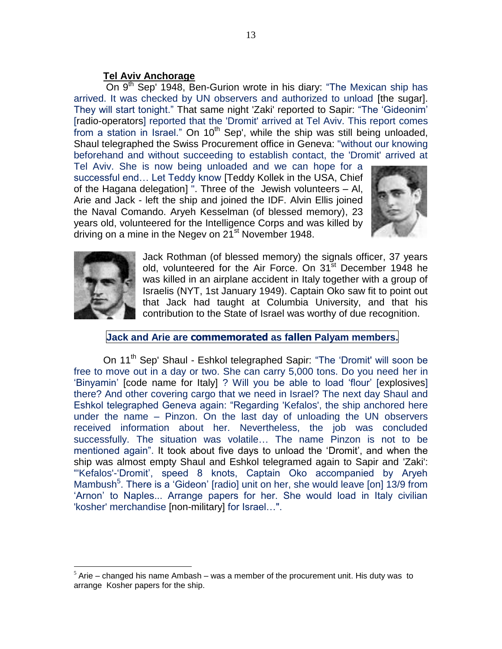### **Tel Aviv Anchorage**

On 9<sup>th</sup> Sep' 1948, Ben-Gurion wrote in his diary: "The Mexican ship has arrived. It was checked by UN observers and authorized to unload [the sugar]. They will start tonight." That same night 'Zaki' reported to Sapir: "The "Gideonim" [radio-operators] reported that the 'Dromit' arrived at Tel Aviv. This report comes from a station in Israel." On  $10<sup>th</sup>$  Sep', while the ship was still being unloaded, Shaul telegraphed the Swiss Procurement office in Geneva: "without our knowing beforehand and without succeeding to establish contact, the 'Dromit' arrived at

Tel Aviv. She is now being unloaded and we can hope for a successful end… Let Teddy know [Teddy Kollek in the USA, Chief of the Hagana delegation] ". Three of the Jewish volunteers – Al, Arie and Jack - left the ship and joined the IDF. Alvin Ellis joined the Naval Comando. Aryeh Kesselman (of blessed memory), 23 years old, volunteered for the Intelligence Corps and was killed by driving on a mine in the Negev on  $21^{st}$  November 1948.





 $\overline{a}$ 

Jack Rothman (of blessed memory) the signals officer, 37 years old, volunteered for the Air Force. On 31<sup>st</sup> December 1948 he was killed in an airplane accident in Italy together with a group of Israelis (NYT, 1st January 1949). Captain Oko saw fit to point out that Jack had taught at Columbia University, and that his contribution to the State of Israel was worthy of due recognition.

### **Jack and Arie are commemorated as fallen Palyam members.**

On 11<sup>th</sup> Sep' Shaul - Eshkol telegraphed Sapir: "The 'Dromit' will soon be free to move out in a day or two. She can carry 5,000 tons. Do you need her in "Binyamin" [code name for Italy] ? Will you be able to load "flour" [explosives] there? And other covering cargo that we need in Israel? The next day Shaul and Eshkol telegraphed Geneva again: "Regarding 'Kefalos', the ship anchored here under the name – Pinzon. On the last day of unloading the UN observers received information about her. Nevertheless, the job was concluded successfully. The situation was volatile… The name Pinzon is not to be mentioned again". It took about five days to unload the "Dromit", and when the ship was almost empty Shaul and Eshkol telegramed again to Sapir and 'Zaki': "'Kefalos'-"Dromit", speed 8 knots, Captain Oko accompanied by Aryeh Mambush<sup>5</sup>. There is a 'Gideon' [radio] unit on her, she would leave [on] 13/9 from 'Arnon' to Naples... Arrange papers for her. She would load in Italy civilian 'kosher' merchandise [non-military] for Israel…".

 $<sup>5</sup>$  Arie – changed his name Ambash – was a member of the procurement unit. His duty was to</sup> arrange Kosher papers for the ship.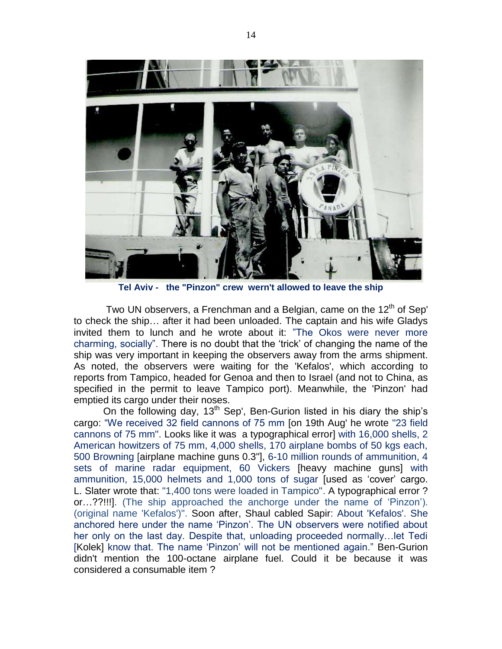

**Tel Aviv - the "Pinzon" crew wern't allowed to leave the ship**

Two UN observers, a Frenchman and a Belgian, came on the  $12<sup>th</sup>$  of Sep' to check the ship… after it had been unloaded. The captain and his wife Gladys invited them to lunch and he wrote about it: "The Okos were never more charming, socially". There is no doubt that the "trick" of changing the name of the ship was very important in keeping the observers away from the arms shipment. As noted, the observers were waiting for the 'Kefalos', which according to reports from Tampico, headed for Genoa and then to Israel (and not to China, as specified in the permit to leave Tampico port). Meanwhile, the 'Pinzon' had emptied its cargo under their noses.

On the following day,  $13<sup>th</sup>$  Sep', Ben-Gurion listed in his diary the ship's cargo: "We received 32 field cannons of 75 mm [on 19th Aug' he wrote "23 field cannons of 75 mm". Looks like it was a typographical error] with 16,000 shells, 2 American howitzers of 75 mm, 4,000 shells, 170 airplane bombs of 50 kgs each, 500 Browning [airplane machine guns 0.3"], 6-10 million rounds of ammunition, 4 sets of marine radar equipment, 60 Vickers [heavy machine guns] with ammunition, 15,000 helmets and 1,000 tons of sugar [used as "cover" cargo. L. Slater wrote that: "1,400 tons were loaded in Tampico". A typographical error ? or…??!!!]. (The ship approached the anchorge under the name of "Pinzon"). (original name 'Kefalos')". Soon after, Shaul cabled Sapir: About 'Kefalos'. She anchored here under the name "Pinzon". The UN observers were notified about her only on the last day. Despite that, unloading proceeded normally…let Tedi [Kolek] know that. The name 'Pinzon' will not be mentioned again." Ben-Gurion didn't mention the 100-octane airplane fuel. Could it be because it was considered a consumable item ?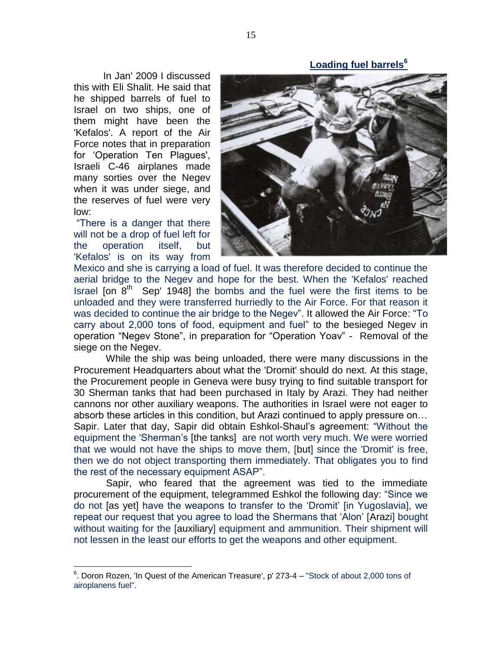**Loading fuel barrels<sup>6</sup>**

In Jan' 2009 I discussed this with Eli Shalit. He said that he shipped barrels of fuel to Israel on two ships, one of them might have been the 'Kefalos'. A report of the Air Force notes that in preparation for "Operation Ten Plagues', Israeli C-46 airplanes made many sorties over the Negev when it was under siege, and the reserves of fuel were very low:

"There is a danger that there will not be a drop of fuel left for the operation itself, but 'Kefalos' is on its way from

 $\overline{a}$ 



Mexico and she is carrying a load of fuel. It was therefore decided to continue the aerial bridge to the Negev and hope for the best. When the 'Kefalos' reached Israel [on  $8<sup>th</sup>$  Sep' 1948] the bombs and the fuel were the first items to be unloaded and they were transferred hurriedly to the Air Force. For that reason it was decided to continue the air bridge to the Negev". It allowed the Air Force: "To carry about 2,000 tons of food, equipment and fuel" to the besieged Negev in operation "Negev Stone", in preparation for "Operation Yoav" - Removal of the siege on the Negev.

While the ship was being unloaded, there were many discussions in the Procurement Headquarters about what the 'Dromit' should do next. At this stage, the Procurement people in Geneva were busy trying to find suitable transport for 30 Sherman tanks that had been purchased in Italy by Arazi. They had neither cannons nor other auxiliary weapons. The authorities in Israel were not eager to absorb these articles in this condition, but Arazi continued to apply pressure on… Sapir. Later that day, Sapir did obtain Eshkol-Shaul"s agreement: "Without the equipment the 'Sherman"s [the tanks] are not worth very much. We were worried that we would not have the ships to move them, [but] since the 'Dromit' is free, then we do not object transporting them immediately. That obligates you to find the rest of the necessary equipment ASAP".

Sapir, who feared that the agreement was tied to the immediate procurement of the equipment, telegrammed Eshkol the following day: "Since we do not [as yet] have the weapons to transfer to the "Dromit" [in Yugoslavia], we repeat our request that you agree to load the Shermans that "Alon" [Arazi] bought without waiting for the [auxiliary] equipment and ammunition. Their shipment will not lessen in the least our efforts to get the weapons and other equipment.

 $6$ . Doron Rozen, 'In Quest of the American Treasure', p' 273-4 – "Stock of about 2,000 tons of airoplanens fuel".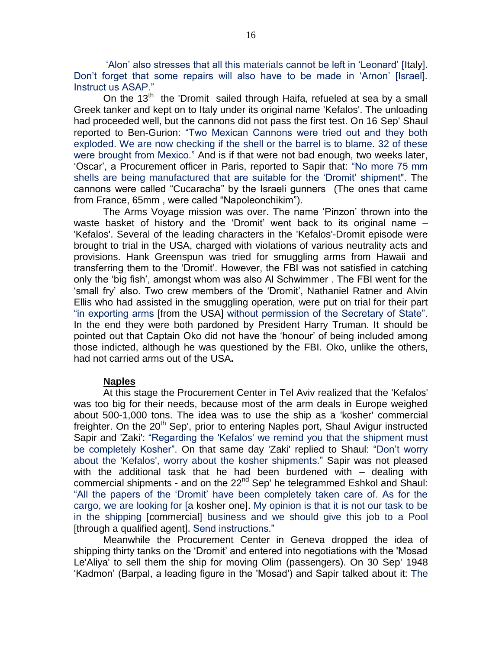"Alon" also stresses that all this materials cannot be left in "Leonard" [Italy]. Don"t forget that some repairs will also have to be made in "Arnon" [Israel]. Instruct us ASAP."

On the 13<sup>th</sup> the 'Dromit sailed through Haifa, refueled at sea by a small Greek tanker and kept on to Italy under its original name 'Kefalos'. The unloading had proceeded well, but the cannons did not pass the first test. On 16 Sep' Shaul reported to Ben-Gurion: "Two Mexican Cannons were tried out and they both exploded. We are now checking if the shell or the barrel is to blame. 32 of these were brought from Mexico." And is if that were not bad enough, two weeks later, "Oscar", a Procurement officer in Paris, reported to Sapir that: "No more 75 mm shells are being manufactured that are suitable for the "Dromit" shipment". The cannons were called "Cucaracha" by the Israeli gunners (The ones that came from France, 65mm , were called "Napoleonchikim").

The Arms Voyage mission was over. The name "Pinzon" thrown into the waste basket of history and the "Dromit" went back to its original name – 'Kefalos'. Several of the leading characters in the 'Kefalos'-Dromit episode were brought to trial in the USA, charged with violations of various neutrality acts and provisions. Hank Greenspun was tried for smuggling arms from Hawaii and transferring them to the "Dromit". However, the FBI was not satisfied in catching only the "big fish", amongst whom was also Al Schwimmer . The FBI went for the "small fry" also. Two crew members of the "Dromit", Nathaniel Ratner and Alvin Ellis who had assisted in the smuggling operation, were put on trial for their part "in exporting arms [from the USA] without permission of the Secretary of State". In the end they were both pardoned by President Harry Truman. It should be pointed out that Captain Oko did not have the "honour" of being included among those indicted, although he was questioned by the FBI. Oko, unlike the others, had not carried arms out of the USA**.**

#### **Naples**

At this stage the Procurement Center in Tel Aviv realized that the 'Kefalos' was too big for their needs, because most of the arm deals in Europe weighed about 500-1,000 tons. The idea was to use the ship as a 'kosher' commercial freighter. On the 20<sup>th</sup> Sep', prior to entering Naples port, Shaul Avigur instructed Sapir and 'Zaki': "Regarding the 'Kefalos' we remind you that the shipment must be completely Kosher". On that same day 'Zaki' replied to Shaul: "Don"t worry about the 'Kefalos', worry about the kosher shipments." Sapir was not pleased with the additional task that he had been burdened with – dealing with commercial shipments - and on the 22<sup>nd</sup> Sep' he telegrammed Eshkol and Shaul: "All the papers of the "Dromit" have been completely taken care of. As for the cargo, we are looking for [a kosher one]. My opinion is that it is not our task to be in the shipping [commercial] business and we should give this job to a Pool [through a qualified agent]. Send instructions."

Meanwhile the Procurement Center in Geneva dropped the idea of shipping thirty tanks on the "Dromit" and entered into negotiations with the 'Mosad Le'Aliya' to sell them the ship for moving Olim (passengers). On 30 Sep' 1948 "Kadmon" (Barpal, a leading figure in the 'Mosad') and Sapir talked about it: The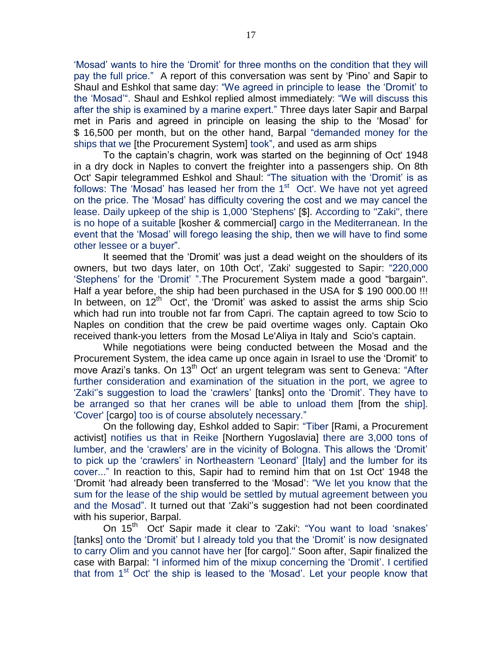"Mosad" wants to hire the "Dromit" for three months on the condition that they will pay the full price." A report of this conversation was sent by "Pino" and Sapir to Shaul and Eshkol that same day: "We agreed in principle to lease the "Dromit" to the "Mosad"". Shaul and Eshkol replied almost immediately: "We will discuss this after the ship is examined by a marine expert." Three days later Sapir and Barpal met in Paris and agreed in principle on leasing the ship to the "Mosad" for \$ 16,500 per month, but on the other hand, Barpal "demanded money for the ships that we [the Procurement System] took", and used as arm ships

To the captain"s chagrin, work was started on the beginning of Oct' 1948 in a dry dock in Naples to convert the freighter into a passengers ship. On 8th Oct' Sapir telegrammed Eshkol and Shaul: "The situation with the "Dromit" is as follows: The 'Mosad' has leased her from the  $1<sup>st</sup>$  Oct'. We have not yet agreed on the price. The "Mosad" has difficulty covering the cost and we may cancel the lease. Daily upkeep of the ship is 1,000 'Stephens' [\$]. According to ''Zaki'', there is no hope of a suitable [kosher & commercial] cargo in the Mediterranean. In the event that the "Mosad" will forego leasing the ship, then we will have to find some other lessee or a buyer".

It seemed that the "Dromit" was just a dead weight on the shoulders of its owners, but two days later, on 10th Oct', 'Zaki' suggested to Sapir: "220,000 "Stephens' for the 'Dromit' ".The Procurement System made a good "bargain". Half a year before, the ship had been purchased in the USA for \$ 190 000.00 !!! In between, on  $12<sup>th</sup>$  Oct', the 'Dromit' was asked to assist the arms ship Scio which had run into trouble not far from Capri. The captain agreed to tow Scio to Naples on condition that the crew be paid overtime wages only. Captain Oko received thank-you letters from the Mosad Le'Aliya in Italy and Scio's captain.

While negotiations were being conducted between the Mosad and the Procurement System, the idea came up once again in Israel to use the "Dromit" to move Arazi's tanks. On 13<sup>th</sup> Oct' an urgent telegram was sent to Geneva: "After further consideration and examination of the situation in the port, we agree to 'Zaki'"s suggestion to load the "crawlers" [tanks] onto the "Dromit". They have to be arranged so that her cranes will be able to unload them [from the ship]. 'Cover' [cargo] too is of course absolutely necessary."

On the following day, Eshkol added to Sapir: "Tiber [Rami, a Procurement activist] notifies us that in Reike [Northern Yugoslavia] there are 3,000 tons of lumber, and the "crawlers" are in the vicinity of Bologna. This allows the "Dromit" to pick up the "crawlers" in Northeastern "Leonard" [Italy] and the lumber for its cover..." In reaction to this, Sapir had to remind him that on 1st Oct' 1948 the "Dromit "had already been transferred to the "Mosad": "We let you know that the sum for the lease of the ship would be settled by mutual agreement between you and the Mosad". It turned out that 'Zaki'"s suggestion had not been coordinated with his superior, Barpal.

On 15<sup>th</sup> Oct' Sapir made it clear to 'Zaki': "You want to load 'snakes' [tanks] onto the 'Dromit' but I already told you that the 'Dromit' is now designated to carry Olim and you cannot have her [for cargo]." Soon after, Sapir finalized the case with Barpal: "I informed him of the mixup concerning the "Dromit". I certified that from  $1<sup>st</sup>$  Oct' the ship is leased to the 'Mosad'. Let your people know that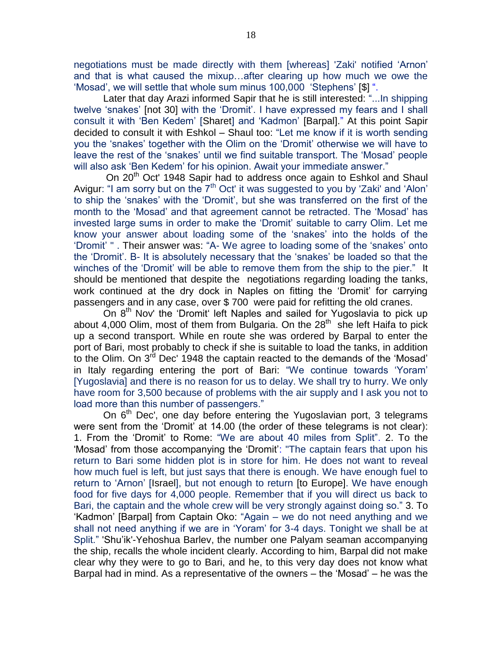negotiations must be made directly with them [whereas] 'Zaki' notified "Arnon" and that is what caused the mixup…after clearing up how much we owe the "Mosad", we will settle that whole sum minus 100,000 "Stephens" [\$] ".

Later that day Arazi informed Sapir that he is still interested: "...In shipping twelve "snakes" [not 30] with the "Dromit". I have expressed my fears and I shall consult it with "Ben Kedem" [Sharet] and "Kadmon" [Barpal]." At this point Sapir decided to consult it with Eshkol – Shaul too: "Let me know if it is worth sending you the "snakes" together with the Olim on the "Dromit" otherwise we will have to leave the rest of the 'snakes' until we find suitable transport. The 'Mosad' people will also ask 'Ben Kedem' for his opinion. Await your immediate answer."

On 20<sup>th</sup> Oct' 1948 Sapir had to address once again to Eshkol and Shaul Avigur: "I am sorry but on the  $7<sup>th</sup>$  Oct' it was suggested to you by 'Zaki' and 'Alon' to ship the "snakes" with the "Dromit", but she was transferred on the first of the month to the "Mosad" and that agreement cannot be retracted. The "Mosad" has invested large sums in order to make the "Dromit" suitable to carry Olim. Let me know your answer about loading some of the "snakes" into the holds of the "Dromit" " . Their answer was: "A- We agree to loading some of the 'snakes' onto the "Dromit". B- It is absolutely necessary that the "snakes" be loaded so that the winches of the 'Dromit' will be able to remove them from the ship to the pier." It should be mentioned that despite the negotiations regarding loading the tanks, work continued at the dry dock in Naples on fitting the "Dromit" for carrying passengers and in any case, over \$ 700 were paid for refitting the old cranes.

On 8<sup>th</sup> Nov' the 'Dromit' left Naples and sailed for Yugoslavia to pick up about 4,000 Olim, most of them from Bulgaria. On the  $28<sup>th</sup>$  she left Haifa to pick up a second transport. While en route she was ordered by Barpal to enter the port of Bari, most probably to check if she is suitable to load the tanks, in addition to the Olim. On  $3^{\text{rd}}$  Dec' 1948 the captain reacted to the demands of the 'Mosad' in Italy regarding entering the port of Bari: "We continue towards "Yoram" [Yugoslavia] and there is no reason for us to delay. We shall try to hurry. We only have room for 3,500 because of problems with the air supply and I ask you not to load more than this number of passengers."

On  $6<sup>th</sup>$  Dec', one day before entering the Yugoslavian port, 3 telegrams were sent from the "Dromit" at 14.00 (the order of these telegrams is not clear): 1. From the "Dromit" to Rome: "We are about 40 miles from Split". 2. To the 'Mosad" from those accompanying the "Dromit": "The captain fears that upon his return to Bari some hidden plot is in store for him. He does not want to reveal how much fuel is left, but just says that there is enough. We have enough fuel to return to "Arnon" [Israel], but not enough to return [to Europe]. We have enough food for five days for 4,000 people. Remember that if you will direct us back to Bari, the captain and the whole crew will be very strongly against doing so." 3. To "Kadmon" [Barpal] from Captain Oko: "Again – we do not need anything and we shall not need anything if we are in "Yoram" for 3-4 days. Tonight we shall be at Split." 'Shu"ik'-Yehoshua Barlev, the number one Palyam seaman accompanying the ship, recalls the whole incident clearly. According to him, Barpal did not make clear why they were to go to Bari, and he, to this very day does not know what Barpal had in mind. As a representative of the owners – the "Mosad" – he was the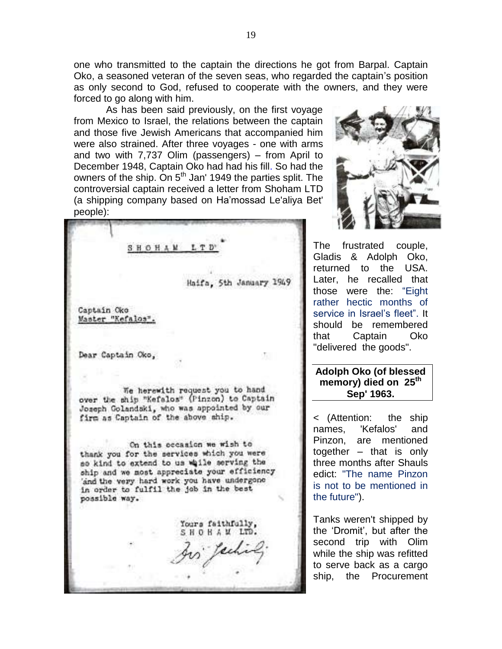one who transmitted to the captain the directions he got from Barpal. Captain Oko, a seasoned veteran of the seven seas, who regarded the captain"s position as only second to God, refused to cooperate with the owners, and they were forced to go along with him.

As has been said previously, on the first voyage from Mexico to Israel, the relations between the captain and those five Jewish Americans that accompanied him were also strained. After three voyages - one with arms and two with 7,737 Olim (passengers) – from April to December 1948, Captain Oko had had his fill. So had the owners of the ship. On 5<sup>th</sup> Jan' 1949 the parties split. The controversial captain received a letter from Shoham LTD (a shipping company based on Ha"mossad Le'aliya Bet' people):

SHOHAM LTD Haifa, 5th January 1949 Captain Oko Master "Kefalos" Dear Captain Oko, 耻 We herewith request you to hand over the ship "Kefalos" (Pinzon) to Captain Joseph Golandski, who was appointed by our firm as Captain of the above ship. On this occasion we wish to thank you for the services which you were so kind to extend to us while serving the ship and we most appreciate your efficiency 'and the very hard work you have undergone in order to fulfil the job in the best possible way. Yours faithfully, SHOHAM LTD.



The frustrated couple, Gladis & Adolph Oko, returned to the USA. Later, he recalled that those were the: "Eight rather hectic months of service in Israel's fleet". It should be remembered that Captain Oko "delivered the goods".

### **Adolph Oko (of blessed memory) died on 25th Sep' 1963.**

< (Attention: the ship names, 'Kefalos' and Pinzon, are mentioned together – that is only three months after Shauls edict: "The name Pinzon is not to be mentioned in the future").

Tanks weren't shipped by the "Dromit", but after the second trip with Olim while the ship was refitted to serve back as a cargo ship, the Procurement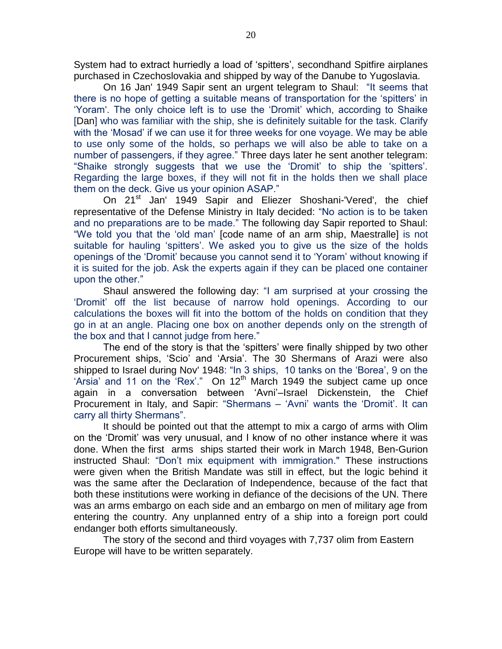System had to extract hurriedly a load of 'spitters', secondhand Spitfire airplanes purchased in Czechoslovakia and shipped by way of the Danube to Yugoslavia.

On 16 Jan' 1949 Sapir sent an urgent telegram to Shaul: "It seems that there is no hope of getting a suitable means of transportation for the "spitters" in "Yoram'. The only choice left is to use the "Dromit" which, according to Shaike [Dan] who was familiar with the ship, she is definitely suitable for the task. Clarify with the "Mosad" if we can use it for three weeks for one voyage. We may be able to use only some of the holds, so perhaps we will also be able to take on a number of passengers, if they agree." Three days later he sent another telegram: "Shaike strongly suggests that we use the "Dromit" to ship the "spitters". Regarding the large boxes, if they will not fit in the holds then we shall place them on the deck. Give us your opinion ASAP."

On 21<sup>st</sup> Jan' 1949 Sapir and Eliezer Shoshani-'Vered', the chief representative of the Defense Ministry in Italy decided: "No action is to be taken and no preparations are to be made." The following day Sapir reported to Shaul: "We told you that the "old man" [code name of an arm ship, Maestralle] is not suitable for hauling 'spitters'. We asked you to give us the size of the holds openings of the "Dromit" because you cannot send it to "Yoram" without knowing if it is suited for the job. Ask the experts again if they can be placed one container upon the other."

Shaul answered the following day: "I am surprised at your crossing the "Dromit" off the list because of narrow hold openings. According to our calculations the boxes will fit into the bottom of the holds on condition that they go in at an angle. Placing one box on another depends only on the strength of the box and that I cannot judge from here."

The end of the story is that the 'spitters' were finally shipped by two other Procurement ships, "Scio" and "Arsia". The 30 Shermans of Arazi were also shipped to Israel during Nov' 1948: "In 3 ships, 10 tanks on the "Borea", 9 on the 'Arsia' and 11 on the 'Rex'." On  $12<sup>th</sup>$  March 1949 the subject came up once again in a conversation between "Avni"–Israel Dickenstein, the Chief Procurement in Italy, and Sapir: "Shermans – "Avni" wants the "Dromit". It can carry all thirty Shermans".

It should be pointed out that the attempt to mix a cargo of arms with Olim on the "Dromit" was very unusual, and I know of no other instance where it was done. When the first arms ships started their work in March 1948, Ben-Gurion instructed Shaul: "Don"t mix equipment with immigration." These instructions were given when the British Mandate was still in effect, but the logic behind it was the same after the Declaration of Independence, because of the fact that both these institutions were working in defiance of the decisions of the UN. There was an arms embargo on each side and an embargo on men of military age from entering the country. Any unplanned entry of a ship into a foreign port could endanger both efforts simultaneously.

The story of the second and third voyages with 7,737 olim from Eastern Europe will have to be written separately.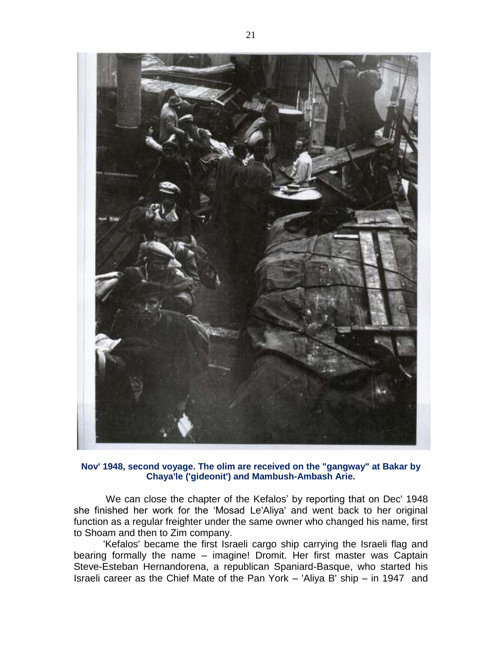

#### **Nov' 1948, second voyage. The olim are received on the "gangway" at Bakar by Chaya'le ('gideonit') and Mambush-Ambash Arie.**

We can close the chapter of the Kefalos' by reporting that on Dec' 1948 she finished her work for the "Mosad Le'Aliya' and went back to her original function as a regular freighter under the same owner who changed his name, first to Shoam and then to Zim company.

'Kefalos' became the first Israeli cargo ship carrying the Israeli flag and bearing formally the name – imagine! Dromit. Her first master was Captain Steve-Esteban Hernandorena, a republican Spaniard-Basque, who started his Israeli career as the Chief Mate of the Pan York – 'Aliya B' ship – in 1947 and